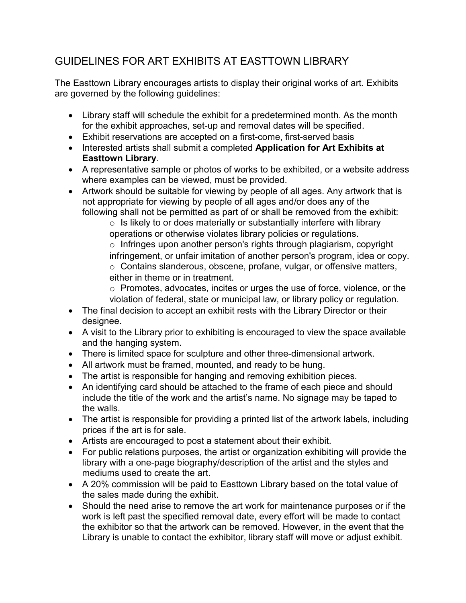## GUIDELINES FOR ART EXHIBITS AT EASTTOWN LIBRARY

The Easttown Library encourages artists to display their original works of art. Exhibits are governed by the following guidelines:

- Library staff will schedule the exhibit for a predetermined month. As the month for the exhibit approaches, set-up and removal dates will be specified.
- Exhibit reservations are accepted on a first-come, first-served basis
- Interested artists shall submit a completed **Application for Art Exhibits at Easttown Library**.
- A representative sample or photos of works to be exhibited, or a website address where examples can be viewed, must be provided.
- Artwork should be suitable for viewing by people of all ages. Any artwork that is not appropriate for viewing by people of all ages and/or does any of the following shall not be permitted as part of or shall be removed from the exhibit:

 $\circ$  Is likely to or does materially or substantially interfere with library operations or otherwise violates library policies or regulations.

o Infringes upon another person's rights through plagiarism, copyright infringement, or unfair imitation of another person's program, idea or copy. o Contains slanderous, obscene, profane, vulgar, or offensive matters, either in theme or in treatment.

o Promotes, advocates, incites or urges the use of force, violence, or the violation of federal, state or municipal law, or library policy or regulation.

- The final decision to accept an exhibit rests with the Library Director or their designee.
- A visit to the Library prior to exhibiting is encouraged to view the space available and the hanging system.
- There is limited space for sculpture and other three-dimensional artwork.
- All artwork must be framed, mounted, and ready to be hung.
- The artist is responsible for hanging and removing exhibition pieces.
- An identifying card should be attached to the frame of each piece and should include the title of the work and the artist's name. No signage may be taped to the walls.
- The artist is responsible for providing a printed list of the artwork labels, including prices if the art is for sale.
- Artists are encouraged to post a statement about their exhibit.
- For public relations purposes, the artist or organization exhibiting will provide the library with a one-page biography/description of the artist and the styles and mediums used to create the art.
- A 20% commission will be paid to Easttown Library based on the total value of the sales made during the exhibit.
- Should the need arise to remove the art work for maintenance purposes or if the work is left past the specified removal date, every effort will be made to contact the exhibitor so that the artwork can be removed. However, in the event that the Library is unable to contact the exhibitor, library staff will move or adjust exhibit.